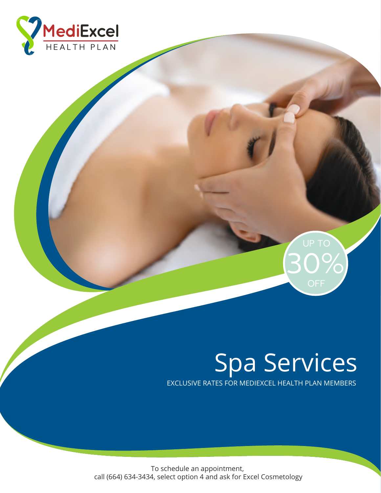



## Spa Services at Exclusive RATES FOR MEDIEXCEL HEALTH PLAN MEMBERS Spa Services

EXCLUSIVE RATES FOR MEDIEXCEL HEALTH PLAN MEMBERS

To schedule an appointment, call (664) 634-3434, select option 4 and ask for Excel Cosmetology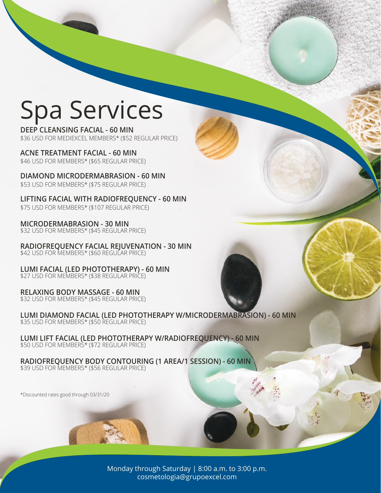## Spa Services

**DEEP CLEANSING FACIAL - 60 MIN**  \$36 USD FOR MEDIEXCEL MEMBERS\* (\$52 REGULAR PRICE)

**ACNE TREATMENT FACIAL - 60 MIN**  \$46 USD FOR MEMBERS\* (\$65 REGULAR PRICE)

**DIAMOND MICRODERMABRASION - 60 MIN** \$53 USD FOR MEMBERS\* (\$75 REGULAR PRICE)

**LIFTING FACIAL WITH RADIOFREQUENCY - 60 MIN**  \$75 USD FOR MEMBERS\* (\$107 REGULAR PRICE)

**MICRODERMABRASION - 30 MIN** \$32 USD FOR MEMBERS\* (\$45 REGULAR PRICE)

**RADIOFREQUENCY FACIAL REJUVENATION - 30 MIN** \$42 USD FOR MEMBERS\* (\$60 REGULAR PRICE)

**LUMI FACIAL (LED PHOTOTHERAPY) - 60 MIN** \$27 USD FOR MEMBERS\* (\$38 REGULAR PRICE)

**RELAXING BODY MASSAGE - 60 MIN** \$32 USD FOR MEMBERS\* (\$45 REGULAR PRICE)

**LUMI DIAMOND FACIAL (LED PHOTOTHERAPY W/MICRODERMABRASION) - 60 MIN** \$35 USD FOR MEMBERS\* (\$50 REGULAR PRICE)

**LUMI LIFT FACIAL (LED PHOTOTHERAPY W/RADIOFREQUENCY) - 60 MIN**  \$50 USD FOR MEMBERS\* (\$72 REGULAR PRICE)

**RADIOFREQUENCY BODY CONTOURING (1 AREA/1 SESSION) - 60 MIN**  \$39 USD FOR MEMBERS\* (\$56 REGULAR PRICE)

\*Discounted rates good through 03/31/20

Monday through Saturday | 8:00 a.m. to 3:00 p.m. cosmetologia@grupoexcel.com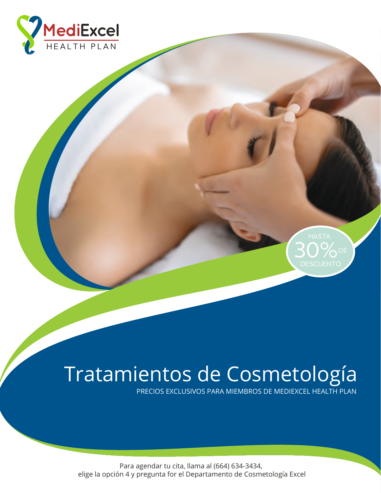



## **Spa Services at Excel Hospital** Tratamientos de Cosmetología

**PRECIOS EXCLUSIVOS PARA MIEMBROS DE MEDIEXCEL HEALTH PLAN** 

Para agendar tu cita, llama al (664) 634-3434, elige la opción 4 y pregunta for el Departamento de Cosmetología Excel